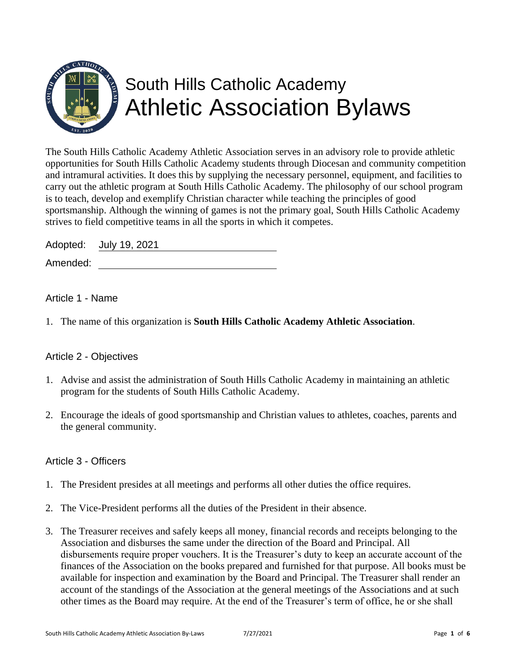

The South Hills Catholic Academy Athletic Association serves in an advisory role to provide athletic opportunities for South Hills Catholic Academy students through Diocesan and community competition and intramural activities. It does this by supplying the necessary personnel, equipment, and facilities to carry out the athletic program at South Hills Catholic Academy. The philosophy of our school program is to teach, develop and exemplify Christian character while teaching the principles of good sportsmanship. Although the winning of games is not the primary goal, South Hills Catholic Academy strives to field competitive teams in all the sports in which it competes.

Adopted: July 19, 2021

Amended:

# Article 1 - Name

1. The name of this organization is **South Hills Catholic Academy Athletic Association**.

# Article 2 - Objectives

- 1. Advise and assist the administration of South Hills Catholic Academy in maintaining an athletic program for the students of South Hills Catholic Academy.
- 2. Encourage the ideals of good sportsmanship and Christian values to athletes, coaches, parents and the general community.

### Article 3 - Officers

- 1. The President presides at all meetings and performs all other duties the office requires.
- 2. The Vice-President performs all the duties of the President in their absence.
- 3. The Treasurer receives and safely keeps all money, financial records and receipts belonging to the Association and disburses the same under the direction of the Board and Principal. All disbursements require proper vouchers. It is the Treasurer's duty to keep an accurate account of the finances of the Association on the books prepared and furnished for that purpose. All books must be available for inspection and examination by the Board and Principal. The Treasurer shall render an account of the standings of the Association at the general meetings of the Associations and at such other times as the Board may require. At the end of the Treasurer's term of office, he or she shall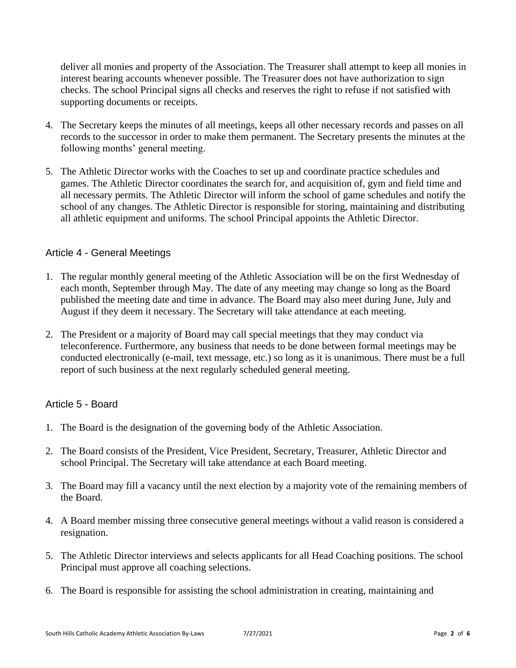deliver all monies and property of the Association. The Treasurer shall attempt to keep all monies in interest bearing accounts whenever possible. The Treasurer does not have authorization to sign checks. The school Principal signs all checks and reserves the right to refuse if not satisfied with supporting documents or receipts.

- 4. The Secretary keeps the minutes of all meetings, keeps all other necessary records and passes on all records to the successor in order to make them permanent. The Secretary presents the minutes at the following months' general meeting.
- 5. The Athletic Director works with the Coaches to set up and coordinate practice schedules and games. The Athletic Director coordinates the search for, and acquisition of, gym and field time and all necessary permits. The Athletic Director will inform the school of game schedules and notify the school of any changes. The Athletic Director is responsible for storing, maintaining and distributing all athletic equipment and uniforms. The school Principal appoints the Athletic Director.

#### Article 4 - General Meetings

- 1. The regular monthly general meeting of the Athletic Association will be on the first Wednesday of each month, September through May. The date of any meeting may change so long as the Board published the meeting date and time in advance. The Board may also meet during June, July and August if they deem it necessary. The Secretary will take attendance at each meeting.
- 2. The President or a majority of Board may call special meetings that they may conduct via teleconference. Furthermore, any business that needs to be done between formal meetings may be conducted electronically (e-mail, text message, etc.) so long as it is unanimous. There must be a full report of such business at the next regularly scheduled general meeting.

### Article 5 - Board

- 1. The Board is the designation of the governing body of the Athletic Association.
- 2. The Board consists of the President, Vice President, Secretary, Treasurer, Athletic Director and school Principal. The Secretary will take attendance at each Board meeting.
- 3. The Board may fill a vacancy until the next election by a majority vote of the remaining members of the Board.
- 4. A Board member missing three consecutive general meetings without a valid reason is considered a resignation.
- 5. The Athletic Director interviews and selects applicants for all Head Coaching positions. The school Principal must approve all coaching selections.
- 6. The Board is responsible for assisting the school administration in creating, maintaining and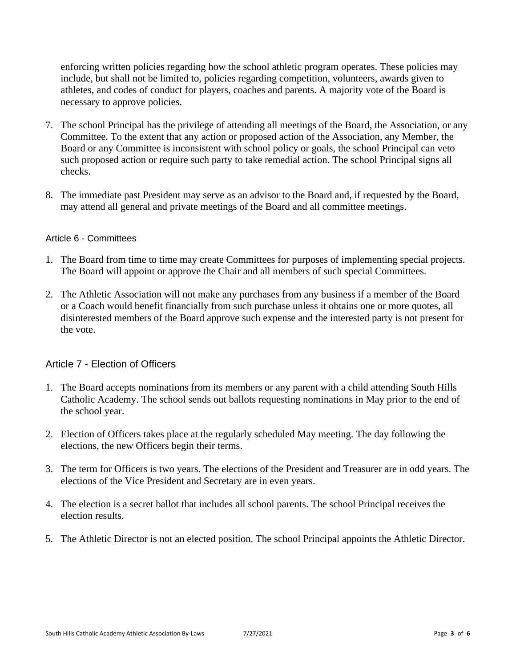enforcing written policies regarding how the school athletic program operates. These policies may include, but shall not be limited to, policies regarding competition, volunteers, awards given to athletes, and codes of conduct for players, coaches and parents. A majority vote of the Board is necessary to approve policies.

- 7. The school Principal has the privilege of attending all meetings of the Board, the Association, or any Committee. To the extent that any action or proposed action of the Association, any Member, the Board or any Committee is inconsistent with school policy or goals, the school Principal can veto such proposed action or require such party to take remedial action. The school Principal signs all checks.
- 8. The immediate past President may serve as an advisor to the Board and, if requested by the Board, may attend all general and private meetings of the Board and all committee meetings.

#### Article 6 - Committees

- 1. The Board from time to time may create Committees for purposes of implementing special projects. The Board will appoint or approve the Chair and all members of such special Committees.
- 2. The Athletic Association will not make any purchases from any business if a member of the Board or a Coach would benefit financially from such purchase unless it obtains one or more quotes, all disinterested members of the Board approve such expense and the interested party is not present for the vote.

### Article 7 - Election of Officers

- 1. The Board accepts nominations from its members or any parent with a child attending South Hills Catholic Academy. The school sends out ballots requesting nominations in May prior to the end of the school year.
- 2. Election of Officers takes place at the regularly scheduled May meeting. The day following the elections, the new Officers begin their terms.
- 3. The term for Officers is two years. The elections of the President and Treasurer are in odd years. The elections of the Vice President and Secretary are in even years.
- 4. The election is a secret ballot that includes all school parents. The school Principal receives the election results.
- 5. The Athletic Director is not an elected position. The school Principal appoints the Athletic Director.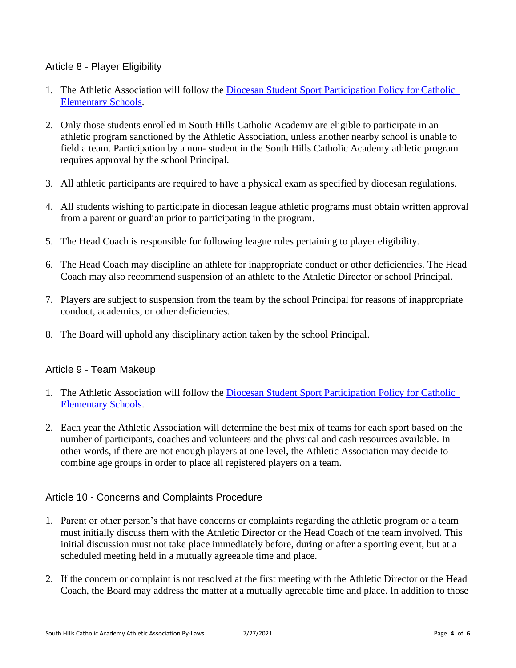## Article 8 - Player Eligibility

- 1. The Athletic Association will follow the [Diocesan Student Sport Participation Policy for Catholic](http://www.2badcats.com/dopgbball/sharedcontent.aspx?title=Student%20Sport%20Participation%20Policy)  [Elementary Schools.](http://www.2badcats.com/dopgbball/sharedcontent.aspx?title=Student%20Sport%20Participation%20Policy)
- 2. Only those students enrolled in South Hills Catholic Academy are eligible to participate in an athletic program sanctioned by the Athletic Association, unless another nearby school is unable to field a team. Participation by a non- student in the South Hills Catholic Academy athletic program requires approval by the school Principal.
- 3. All athletic participants are required to have a physical exam as specified by diocesan regulations.
- 4. All students wishing to participate in diocesan league athletic programs must obtain written approval from a parent or guardian prior to participating in the program.
- 5. The Head Coach is responsible for following league rules pertaining to player eligibility.
- 6. The Head Coach may discipline an athlete for inappropriate conduct or other deficiencies. The Head Coach may also recommend suspension of an athlete to the Athletic Director or school Principal.
- 7. Players are subject to suspension from the team by the school Principal for reasons of inappropriate conduct, academics, or other deficiencies.
- 8. The Board will uphold any disciplinary action taken by the school Principal.

### Article 9 - Team Makeup

- 1. The Athletic Association will follow the [Diocesan Student Sport Participation Policy for Catholic](http://www.2badcats.com/dopgbball/sharedcontent.aspx?title=Student%20Sport%20Participation%20Policy)  [Elementary Schools.](http://www.2badcats.com/dopgbball/sharedcontent.aspx?title=Student%20Sport%20Participation%20Policy)
- 2. Each year the Athletic Association will determine the best mix of teams for each sport based on the number of participants, coaches and volunteers and the physical and cash resources available. In other words, if there are not enough players at one level, the Athletic Association may decide to combine age groups in order to place all registered players on a team.

### Article 10 - Concerns and Complaints Procedure

- 1. Parent or other person's that have concerns or complaints regarding the athletic program or a team must initially discuss them with the Athletic Director or the Head Coach of the team involved. This initial discussion must not take place immediately before, during or after a sporting event, but at a scheduled meeting held in a mutually agreeable time and place.
- 2. If the concern or complaint is not resolved at the first meeting with the Athletic Director or the Head Coach, the Board may address the matter at a mutually agreeable time and place. In addition to those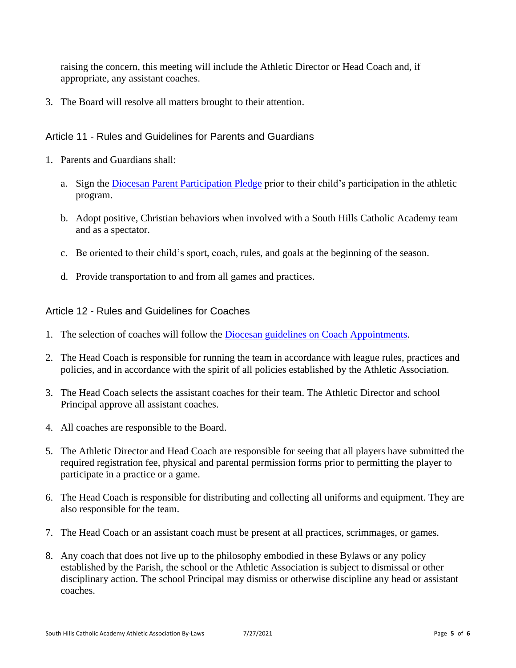raising the concern, this meeting will include the Athletic Director or Head Coach and, if appropriate, any assistant coaches.

3. The Board will resolve all matters brought to their attention.

### Article 11 - Rules and Guidelines for Parents and Guardians

- 1. Parents and Guardians shall:
	- a. Sign the [Diocesan Parent Participation Pledge](http://www.2badcats.com/dopgbball/leagueforms/ParentParticipationPledge.pdf) prior to their child's participation in the athletic program.
	- b. Adopt positive, Christian behaviors when involved with a South Hills Catholic Academy team and as a spectator.
	- c. Be oriented to their child's sport, coach, rules, and goals at the beginning of the season.
	- d. Provide transportation to and from all games and practices.

#### Article 12 - Rules and Guidelines for Coaches

- 1. The selection of coaches will follow the [Diocesan guidelines on Coach Appointments.](http://www.2badcats.com/dopgbball/sharedcontent.aspx?title=Coach%20Appointments)
- 2. The Head Coach is responsible for running the team in accordance with league rules, practices and policies, and in accordance with the spirit of all policies established by the Athletic Association.
- 3. The Head Coach selects the assistant coaches for their team. The Athletic Director and school Principal approve all assistant coaches.
- 4. All coaches are responsible to the Board.
- 5. The Athletic Director and Head Coach are responsible for seeing that all players have submitted the required registration fee, physical and parental permission forms prior to permitting the player to participate in a practice or a game.
- 6. The Head Coach is responsible for distributing and collecting all uniforms and equipment. They are also responsible for the team.
- 7. The Head Coach or an assistant coach must be present at all practices, scrimmages, or games.
- 8. Any coach that does not live up to the philosophy embodied in these Bylaws or any policy established by the Parish, the school or the Athletic Association is subject to dismissal or other disciplinary action. The school Principal may dismiss or otherwise discipline any head or assistant coaches.